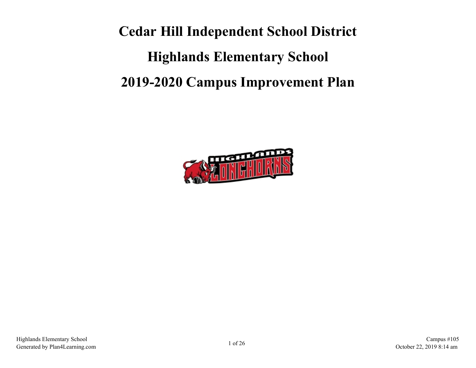**Cedar Hill Independent School District Highlands Elementary School 2019-2020 Campus Improvement Plan**

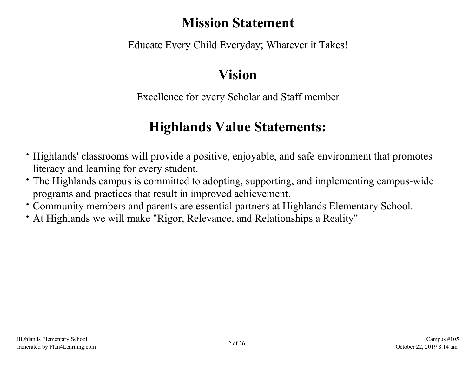# **Mission Statement**

Educate Every Child Everyday; Whatever it Takes!

# **Vision**

Excellence for every Scholar and Staff member

# **Highlands Value Statements:**

- Highlands' classrooms will provide a positive, enjoyable, and safe environment that promotes literacy and learning for every student.
- The Highlands campus is committed to adopting, supporting, and implementing campus-wide programs and practices that result in improved achievement.
- Community members and parents are essential partners at Highlands Elementary School.
- At Highlands we will make "Rigor, Relevance, and Relationships a Reality"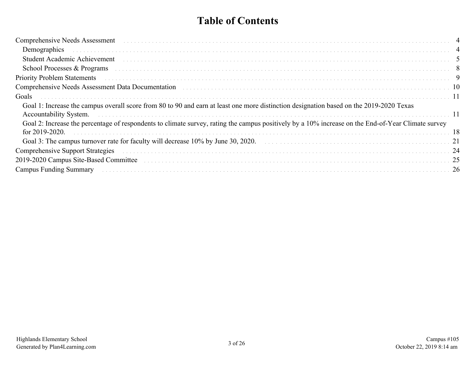# **Table of Contents**

| Comprehensive Needs Assessment (and according to the control of the control of the comprehensive Needs Assessment)                                                                                                             |     |
|--------------------------------------------------------------------------------------------------------------------------------------------------------------------------------------------------------------------------------|-----|
|                                                                                                                                                                                                                                |     |
|                                                                                                                                                                                                                                |     |
| School Processes & Programs experience in the contract of the contract of the contract of the contract of the contract of the contract of the contract of the contract of the contract of the contract of the contract of the  |     |
| Priority Problem Statements (all contains and contained all contains a statements of the statements of the statements of the statements of the statements of the statements of the statements of the statement of the statemen |     |
| Comprehensive Needs Assessment Data Documentation (and according to the contract of the comprehensive Needs Assessment Data Documentation (and according to the contract of the contract of the contract of the contract of th |     |
| Goals                                                                                                                                                                                                                          |     |
| Goal 1: Increase the campus overall score from 80 to 90 and earn at least one more distinction designation based on the 2019-2020 Texas                                                                                        |     |
| Goal 2: Increase the percentage of respondents to climate survey, rating the campus positively by a 10% increase on the End-of-Year Climate survey<br>for $2019 - 2020$                                                        | 18  |
| Goal 3: The campus turnover rate for faculty will decrease 10% by June 30, 2020.                                                                                                                                               |     |
| Comprehensive Support Strategies (and contain the contract of the contract of the contract of the contract of the contract of the contract of the contract of the contract of the contract of the contract of the contract of  |     |
| 2019-2020 Campus Site-Based Committee (etc.) et al. (etc.) and the control of the control of the control of the control of the control of the control of the control of the control of the control of the control of the contr | -25 |
| <b>Campus Funding Summary</b>                                                                                                                                                                                                  |     |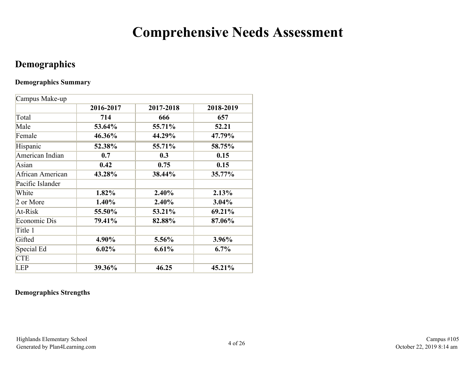# **Comprehensive Needs Assessment**

# <span id="page-3-0"></span>**Demographics**

## **Demographics Summary**

| Campus Make-up   |           |           |           |
|------------------|-----------|-----------|-----------|
|                  | 2016-2017 | 2017-2018 | 2018-2019 |
| Total            | 714       | 666       | 657       |
| Male             | 53.64%    | 55.71%    | 52.21     |
| Female           | 46.36%    | 44.29%    | 47.79%    |
| Hispanic         | 52.38%    | 55.71%    | 58.75%    |
| American Indian  | 0.7       | 0.3       | 0.15      |
| Asian            | 0.42      | 0.75      | 0.15      |
| African American | 43.28%    | 38.44%    | 35.77%    |
| Pacific Islander |           |           |           |
| White            | 1.82%     | 2.40%     | 2.13%     |
| 2 or More        | 1.40%     | 2.40%     | 3.04%     |
| At-Risk          | 55.50%    | 53.21%    | 69.21%    |
| Economic Dis     | 79.41%    | 82.88%    | 87.06%    |
| Title 1          |           |           |           |
| Gifted           | 4.90%     | 5.56%     | 3.96%     |
| Special Ed       | $6.02\%$  | 6.61%     | $6.7\%$   |
| <b>CTE</b>       |           |           |           |
| <b>LEP</b>       | 39.36%    | 46.25     | 45.21%    |

## **Demographics Strengths**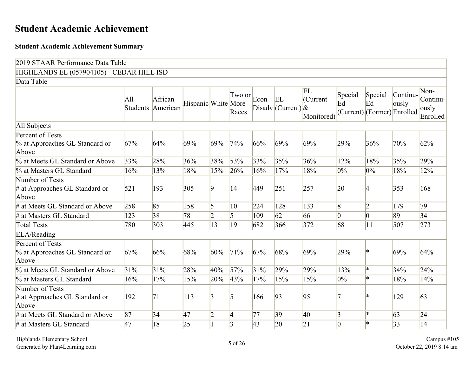# <span id="page-4-0"></span>**Student Academic Achievement**

#### **Student Academic Achievement Summary**

| 2019 STAAR Performance Data Table                            |                        |                     |                     |                 |                    |                 |                             |                              |                 |                                              |                   |                                       |
|--------------------------------------------------------------|------------------------|---------------------|---------------------|-----------------|--------------------|-----------------|-----------------------------|------------------------------|-----------------|----------------------------------------------|-------------------|---------------------------------------|
| HIGHLANDS EL (057904105) - CEDAR HILL ISD                    |                        |                     |                     |                 |                    |                 |                             |                              |                 |                                              |                   |                                       |
| Data Table                                                   |                        |                     |                     |                 |                    |                 |                             |                              |                 |                                              |                   |                                       |
|                                                              | All<br><b>Students</b> | African<br>American | Hispanic White More |                 | $Tw$ o or<br>Races | Econ            | EL<br>Disadv (Current) $\&$ | EL<br>(Current<br>Monitored) | Special<br>Ed   | Special<br>Ed<br>(Current) (Former) Enrolled | Continu-<br>ously | Non-<br>Continu-<br>ously<br>Enrolled |
| All Subjects                                                 |                        |                     |                     |                 |                    |                 |                             |                              |                 |                                              |                   |                                       |
| Percent of Tests                                             |                        |                     |                     |                 |                    |                 |                             |                              |                 |                                              |                   |                                       |
| % at Approaches GL Standard or<br>Above                      | 67%                    | 64%                 | 69%                 | 69%             | 74%                | 66%             | 69%                         | 69%                          | 29%             | 36%                                          | 70%               | 62%                                   |
| % at Meets GL Standard or Above                              | 33%                    | 28%                 | 36%                 | 38%             | 53%                | 33%             | 35%                         | 36%                          | 12%             | 18%                                          | 35%               | 29%                                   |
| % at Masters GL Standard                                     | 16%                    | 13%                 | 18%                 | 15%             | 26%                | 16%             | 17%                         | 18%                          | $0\%$           | $0\%$                                        | 18%               | 12%                                   |
| Number of Tests<br>$#$ at Approaches GL Standard or<br>Above | 521                    | 193                 | 305                 | $\overline{9}$  | 14                 | 449             | 251                         | 257                          | 20              | 4                                            | 353               | 168                                   |
| # at Meets GL Standard or Above                              | 258                    | 85                  | 158                 | $\overline{5}$  | 10                 | 224             | 128                         | 133                          | $\sqrt{8}$      | 2                                            | 179               | $\overline{79}$                       |
| # at Masters GL Standard                                     | 123                    | 38                  | 78                  | $\overline{2}$  | 5                  | 109             | 62                          | 66                           | $\vert 0 \vert$ | $\vert 0 \vert$                              | 89                | 34                                    |
| <b>Total Tests</b>                                           | 780                    | 303                 | 445                 | $\overline{13}$ | 19                 | 682             | 366                         | 372                          | 68              | 11                                           | 507               | 273                                   |
| ELA/Reading                                                  |                        |                     |                     |                 |                    |                 |                             |                              |                 |                                              |                   |                                       |
| Percent of Tests<br>% at Approaches GL Standard or<br>Above  | 67%                    | 66%                 | 68%                 | 60%             | 71%                | 67%             | 68%                         | 69%                          | 29%             |                                              | 69%               | 64%                                   |
| % at Meets GL Standard or Above                              | 31%                    | 31%                 | 28%                 | 40%             | 57%                | 31%             | 29%                         | 29%                          | 13%             | l∗                                           | 34%               | 24%                                   |
| % at Masters GL Standard                                     | 16%                    | 17%                 | 15%                 | 20%             | 43%                | 17%             | 15%                         | 15%                          | 0%              | l∗.                                          | 18%               | 14%                                   |
| Number of Tests                                              |                        |                     |                     |                 |                    |                 |                             |                              |                 |                                              |                   |                                       |
| $#$ at Approaches GL Standard or<br>Above                    | 192                    | 71                  | 113                 | $\overline{3}$  | 5                  | 166             | 93                          | 95                           |                 | l*                                           | 129               | 63                                    |
| # at Meets GL Standard or Above                              | 87                     | 34                  | 47                  | $\overline{2}$  | 4                  | 77              | 39                          | 40                           | $\vert 3 \vert$ | ∦∗                                           | 63                | 24                                    |
| # at Masters GL Standard                                     | 47                     | 18                  | $\overline{25}$     | $\vert$ 1       | $\vert$ 3          | $\overline{43}$ | $\overline{20}$             | 21                           | $\vert 0 \vert$ | l∗.                                          | 33                | 14                                    |

Highlands Elementary School Fighlands Elementary School Campus #105<br>Generated by Plan4Learning.com 6.14 am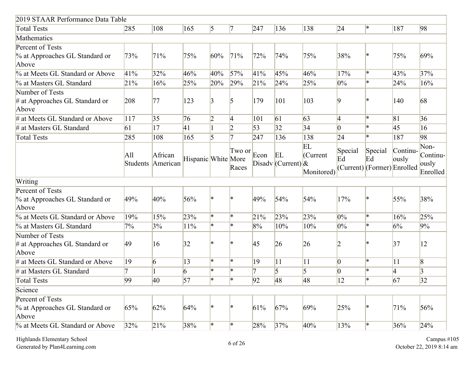| 2019 STAAR Performance Data Table         |          |                 |                     |                        |                |                 |                       |           |                 |                             |          |                   |
|-------------------------------------------|----------|-----------------|---------------------|------------------------|----------------|-----------------|-----------------------|-----------|-----------------|-----------------------------|----------|-------------------|
| <b>Total Tests</b>                        | 285      | 108             | 165                 | $\vert 5 \vert$        | $\vert 7$      | 247             | 136                   | 138       | 24              | ∗                           | 187      | 98                |
| <b>Mathematics</b>                        |          |                 |                     |                        |                |                 |                       |           |                 |                             |          |                   |
| Percent of Tests                          |          |                 |                     |                        |                |                 |                       |           |                 |                             |          |                   |
| % at Approaches GL Standard or            | 73%      | 71%             | 75%                 | 60%                    | 71%            | 72%             | 74%                   | 75%       | 38%             | l∗                          | 75%      | 69%               |
| Above                                     |          |                 |                     |                        |                |                 |                       |           |                 |                             |          |                   |
| % at Meets GL Standard or Above           | 41%      | 32%             | 46%                 | 40%                    | 57%            | 41%             | 45%                   | 46%       | 17%             | ∦∗                          | 43%      | 37%               |
| % at Masters GL Standard                  | 21%      | 16%             | 25%                 | 20%                    | 29%            | 21%             | 24%                   | 25%       | $0\%$           | l∗                          | 24%      | 16%               |
| Number of Tests                           |          |                 |                     |                        |                |                 |                       |           |                 |                             |          |                   |
| $#$ at Approaches GL Standard or<br>Above | 208      | 77              | 123                 | $\vert 3 \vert$        | $\overline{5}$ | 179             | 101                   | 103       | 9               |                             | 140      | 68                |
| # at Meets GL Standard or Above           | 117      | 35              | 76                  | $\overline{2}$         | 4              | 101             | 61                    | 63        | $\vert 4 \vert$ | l∗                          | 81       | 36                |
| # at Masters GL Standard                  | 61       | 17              | 41                  |                        | $\overline{2}$ | $\overline{53}$ | 32                    | 34        | $\vert 0 \vert$ | l∗                          | 45       | 16                |
| <b>Total Tests</b>                        | 285      | 108             | 165                 | $\overline{5}$         | 7              | 247             | 136                   | 138       | 24              | ∦∗                          | 187      | 98                |
|                                           |          |                 |                     |                        | Two or         |                 |                       | EL        | Special         | Special                     | Continu- | Non-              |
|                                           | All      | African         | Hispanic White More |                        |                | Econ            | EL                    | (Current  | Ed              | Ed                          | ously    | Continu-          |
|                                           | Students | American        |                     |                        | Races          |                 | Disadv (Current) $\&$ | Monitored |                 | (Current) (Former) Enrolled |          | ously<br>Enrolled |
| Writing                                   |          |                 |                     |                        |                |                 |                       |           |                 |                             |          |                   |
| Percent of Tests                          |          |                 |                     |                        |                |                 |                       |           |                 |                             |          |                   |
| % at Approaches GL Standard or<br>Above   | 49%      | 40%             | 56%                 | $\ast$                 | $\ast$         | 49%             | 54%                   | 54%       | 17%             | l∗                          | 55%      | 38%               |
| % at Meets GL Standard or Above           | 19%      | 15%             | 23%                 | ∗                      | l*             | 21%             | 23%                   | 23%       | $0\%$           | ∦∗                          | 16%      | 25%               |
| % at Masters GL Standard                  | 7%       | 3%              | 11%                 | $\left  \cdot \right $ | $\ast$         | 8%              | 10%                   | 10%       | $0\%$           | l∗                          | 6%       | 9%                |
| Number of Tests                           |          |                 |                     |                        |                |                 |                       |           |                 |                             |          |                   |
| $#$ at Approaches GL Standard or          | 49       | 16              | 32                  | ×                      | $\ast$         | 45              | 26                    | 26        | 2               |                             | 37       | 12                |
| Above                                     |          |                 |                     |                        |                |                 |                       |           |                 |                             |          |                   |
| # at Meets GL Standard or Above           | 19       | $\vert 6 \vert$ | 13                  | l*                     | l*             | 19              | 11                    | 11        | $ 0\rangle$     | l∗                          | 11       | $\vert 8 \vert$   |
| # at Masters GL Standard                  |          |                 | 6                   | l∗                     | l∗.            |                 | 5                     | 5         | $\vert 0 \vert$ | $\mathbf{R}$                | 4        | 3                 |
| Total Tests                               | 99       | 40              | 57                  | l*                     | $\ast$         | 92              | 48                    | 48        | 12              |                             | 67       | 32                |
| Science                                   |          |                 |                     |                        |                |                 |                       |           |                 |                             |          |                   |
| Percent of Tests                          |          |                 |                     |                        |                |                 |                       |           |                 |                             |          |                   |
| % at Approaches GL Standard or            | 65%      | 62%             | 64%                 | ∗                      |                | 61%             | 67%                   | 69%       | 25%             |                             | 71%      | 56%               |
| Above                                     |          |                 |                     |                        |                |                 |                       |           |                 |                             |          |                   |
| % at Meets GL Standard or Above           | 32%      | 21%             | 38%                 | ∗                      | ∗              | 28%             | 37%                   | 40%       | 13%             |                             | 36%      | 24%               |

Highlands Elementary School Campus #105<br>Generated by Plan4Learning.com **6 of 26** Campus #105 Campus #105 Campus #105 Campus #105 Campus #105 Campus #105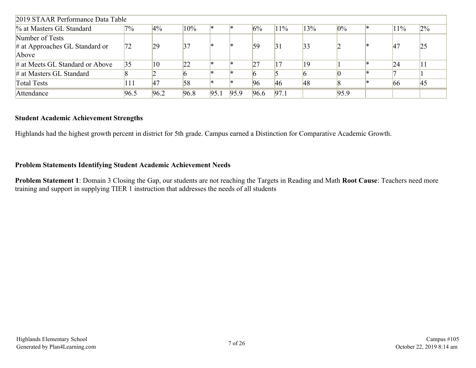| 2019 STAAR Performance Data Table |       |              |      |      |      |      |      |     |       |     |       |
|-----------------------------------|-------|--------------|------|------|------|------|------|-----|-------|-----|-------|
| % at Masters GL Standard          | $7\%$ | $4\%$        | 10%  | ∗    |      | 6%   | 11%  | 13% | $0\%$ | 11% | $2\%$ |
| Number of Tests                   |       |              |      |      |      |      |      |     |       |     |       |
| $\#$ at Approaches GL Standard or | 172   | 29           | 37   | ×    |      | 59   | 31   | 33  |       | 47  | 25    |
| Above                             |       |              |      |      |      |      |      |     |       |     |       |
| # at Meets GL Standard or Above   | 35    | $ 10\rangle$ | 22   | ×    |      | 27   |      | 19  |       | 24  | 11    |
| $#$ at Masters GL Standard        |       |              |      | ×    |      |      |      |     |       |     |       |
| <b>Total Tests</b>                | 111   | 47           | 58   | l*   |      | 96   | 46   | 48  |       | 66  | 45    |
| Attendance                        | 96.5  | 96.2         | 96.8 | 95.1 | 95.9 | 96.6 | 97.1 |     | 95.9  |     |       |

### **Student Academic Achievement Strengths**

Highlands had the highest growth percent in district for 5th grade. Campus earned a Distinction for Comparative Academic Growth.

### **Problem Statements Identifying Student Academic Achievement Needs**

**Problem Statement 1**: Domain 3 Closing the Gap, our students are not reaching the Targets in Reading and Math **Root Cause**: Teachers need more training and support in supplying TIER 1 instruction that addresses the needs of all students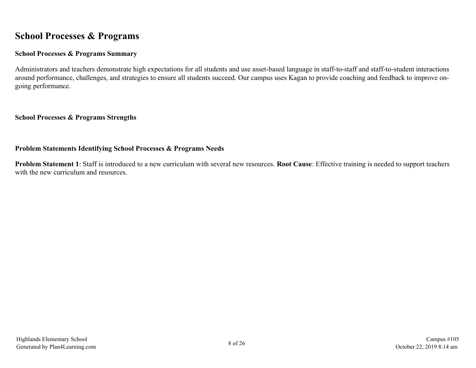# <span id="page-7-0"></span>**School Processes & Programs**

## **School Processes & Programs Summary**

Administrators and teachers demonstrate high expectations for all students and use asset-based language in staff-to-staff and staff-to-student interactions around performance, challenges, and strategies to ensure all students succeed. Our campus uses Kagan to provide coaching and feedback to improve ongoing performance.

### **School Processes & Programs Strengths**

## **Problem Statements Identifying School Processes & Programs Needs**

**Problem Statement 1**: Staff is introduced to a new curriculum with several new resources. **Root Cause**: Effective training is needed to support teachers with the new curriculum and resources.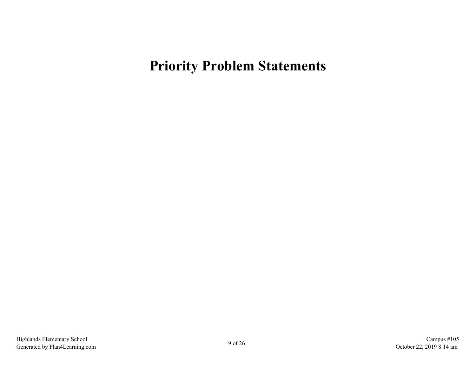# <span id="page-8-0"></span>**Priority Problem Statements**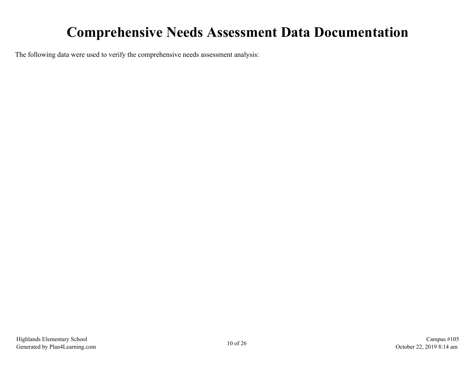# **Comprehensive Needs Assessment Data Documentation**

<span id="page-9-0"></span>The following data were used to verify the comprehensive needs assessment analysis: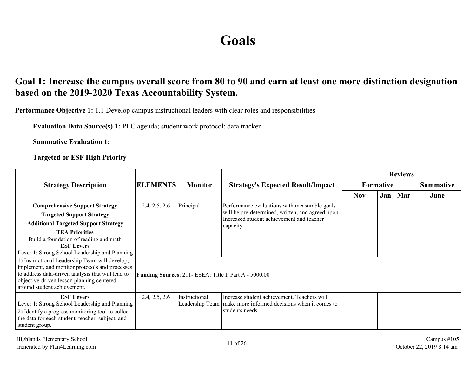# **Goals**

# <span id="page-10-0"></span>**Goal 1: Increase the campus overall score from 80 to 90 and earn at least one more distinction designation based on the 2019-2020 Texas Accountability System.**

**Performance Objective 1:** 1.1 Develop campus instructional leaders with clear roles and responsibilities

**Evaluation Data Source(s) 1:** PLC agenda; student work protocol; data tracker

**Summative Evaluation 1:**

**Targeted or ESF High Priority**

|                                                                                                                                                                                                                                   |                 |                |                                                                                                                                   |            |                  | <b>Reviews</b> |                  |
|-----------------------------------------------------------------------------------------------------------------------------------------------------------------------------------------------------------------------------------|-----------------|----------------|-----------------------------------------------------------------------------------------------------------------------------------|------------|------------------|----------------|------------------|
| <b>Strategy Description</b>                                                                                                                                                                                                       | <b>ELEMENTS</b> | <b>Monitor</b> | <b>Strategy's Expected Result/Impact</b>                                                                                          |            | <b>Formative</b> |                | <b>Summative</b> |
|                                                                                                                                                                                                                                   |                 |                |                                                                                                                                   | <b>Nov</b> | Jan              | Mar            | June             |
| <b>Comprehensive Support Strategy</b>                                                                                                                                                                                             | 2.4, 2.5, 2.6   | Principal      | Performance evaluations with measurable goals                                                                                     |            |                  |                |                  |
| <b>Targeted Support Strategy</b>                                                                                                                                                                                                  |                 |                | will be pre-determined, written, and agreed upon.<br>Increased student achievement and teacher                                    |            |                  |                |                  |
| <b>Additional Targeted Support Strategy</b>                                                                                                                                                                                       |                 |                | capacity                                                                                                                          |            |                  |                |                  |
| <b>TEA Priorities</b><br>Build a foundation of reading and math<br><b>ESF Levers</b><br>Lever 1: Strong School Leadership and Planning                                                                                            |                 |                |                                                                                                                                   |            |                  |                |                  |
| 1) Instructional Leadership Team will develop,<br>implement, and monitor protocols and processes<br>to address data-driven analysis that will lead to<br>objective-driven lesson planning centered<br>around student achievement. |                 |                | Funding Sources: 211- ESEA: Title I, Part A - 5000.00                                                                             |            |                  |                |                  |
| <b>ESF Levers</b><br>Lever 1: Strong School Leadership and Planning<br>2) Identify a progress monitoring tool to collect<br>the data for each student, teacher, subject, and<br>student group.                                    | 2.4, 2.5, 2.6   | Instructional  | Increase student achievement. Teachers will<br>Leadership Team   make more informed decisions when it comes to<br>students needs. |            |                  |                |                  |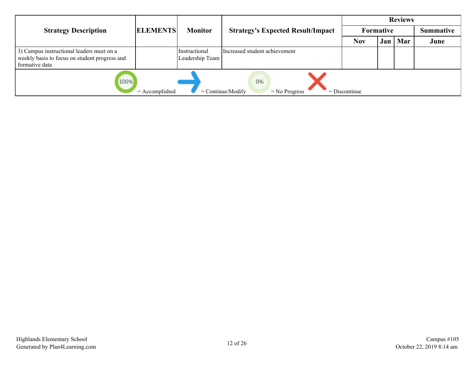|                                                                                                              |                  |                                  |                                              | <b>Reviews</b>  |           |     |                  |  |  |
|--------------------------------------------------------------------------------------------------------------|------------------|----------------------------------|----------------------------------------------|-----------------|-----------|-----|------------------|--|--|
| <b>Strategy Description</b>                                                                                  | <b>ELEMENTS</b>  | <b>Monitor</b>                   | <b>Strategy's Expected Result/Impact</b>     |                 | Formative |     | <b>Summative</b> |  |  |
|                                                                                                              |                  |                                  |                                              | <b>Nov</b>      | Jan '     | Mar | June             |  |  |
| 3) Campus instructional leaders meet on a<br>weekly basis to focus on student progress and<br>formative data |                  | Instructional<br>Leadership Team | Increased student achievement                |                 |           |     |                  |  |  |
| 100%                                                                                                         | $=$ Accomplished |                                  | 0%<br>$=$ Continue/Modify<br>$=$ No Progress | $=$ Discontinue |           |     |                  |  |  |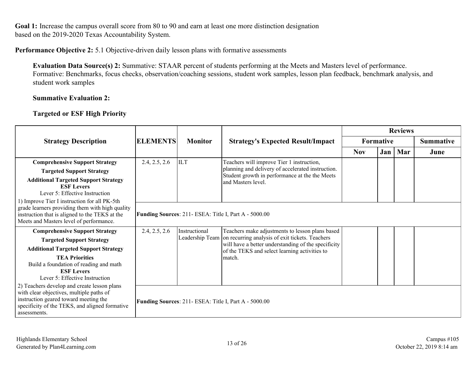Goal 1: Increase the campus overall score from 80 to 90 and earn at least one more distinction designation based on the 2019-2020 Texas Accountability System.

### **Performance Objective 2:** 5.1 Objective-driven daily lesson plans with formative assessments

**Evaluation Data Source(s) 2:** Summative: STAAR percent of students performing at the Meets and Masters level of performance. Formative: Benchmarks, focus checks, observation/coaching sessions, student work samples, lesson plan feedback, benchmark analysis, and student work samples

#### **Summative Evaluation 2:**

## **Targeted or ESF High Priority**

|                                                                                                                                                                                                    |                 |                |                                                                                                                        |            |     | <b>Reviews</b> |                  |
|----------------------------------------------------------------------------------------------------------------------------------------------------------------------------------------------------|-----------------|----------------|------------------------------------------------------------------------------------------------------------------------|------------|-----|----------------|------------------|
| <b>Strategy Description</b>                                                                                                                                                                        | <b>ELEMENTS</b> | <b>Monitor</b> | Formative<br><b>Strategy's Expected Result/Impact</b>                                                                  |            |     |                | <b>Summative</b> |
|                                                                                                                                                                                                    |                 |                |                                                                                                                        | <b>Nov</b> | Jan | Mar            | June             |
| <b>Comprehensive Support Strategy</b>                                                                                                                                                              | 2.4, 2.5, 2.6   | <b>ILT</b>     | Teachers will improve Tier 1 instruction,                                                                              |            |     |                |                  |
| <b>Targeted Support Strategy</b>                                                                                                                                                                   |                 |                | planning and delivery of accelerated instruction.<br>Student growth in performance at the the Meets                    |            |     |                |                  |
| <b>Additional Targeted Support Strategy</b><br><b>ESF Levers</b><br>Lever 5: Effective Instruction                                                                                                 |                 |                | land Masters level.                                                                                                    |            |     |                |                  |
| 1) Improve Tier I instruction for all PK-5th<br>grade learners providing them with high quality<br>instruction that is aligned to the TEKS at the<br>Meets and Masters level of performance.       |                 |                | Funding Sources: 211- ESEA: Title I, Part A - 5000.00                                                                  |            |     |                |                  |
| <b>Comprehensive Support Strategy</b>                                                                                                                                                              | 2.4, 2.5, 2.6   | Instructional  | Teachers make adjustments to lesson plans based                                                                        |            |     |                |                  |
| <b>Targeted Support Strategy</b>                                                                                                                                                                   |                 |                | Leadership Team on recurring analysis of exit tickets. Teachers<br>will have a better understanding of the specificity |            |     |                |                  |
| <b>Additional Targeted Support Strategy</b>                                                                                                                                                        |                 |                | of the TEKS and select learning activities to                                                                          |            |     |                |                  |
| <b>TEA Priorities</b><br>Build a foundation of reading and math<br><b>ESF Levers</b><br>Lever 5: Effective Instruction                                                                             |                 |                | match.                                                                                                                 |            |     |                |                  |
| 2) Teachers develop and create lesson plans<br>with clear objectives, multiple paths of<br>instruction geared toward meeting the<br>specificity of the TEKS, and aligned formative<br>assessments. |                 |                | Funding Sources: 211- ESEA: Title I, Part A - 5000.00                                                                  |            |     |                |                  |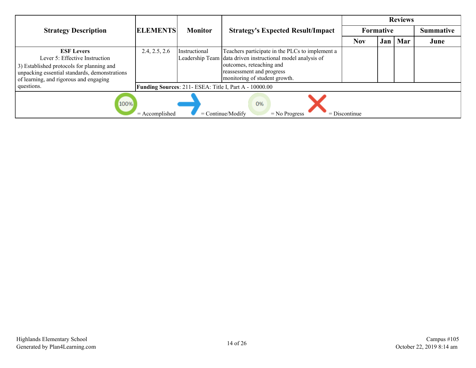|                                                                                                                                                                                             |                  |                |                                                                                                                                                                                                          |                 |                  | <b>Reviews</b> |                  |
|---------------------------------------------------------------------------------------------------------------------------------------------------------------------------------------------|------------------|----------------|----------------------------------------------------------------------------------------------------------------------------------------------------------------------------------------------------------|-----------------|------------------|----------------|------------------|
| <b>Strategy Description</b>                                                                                                                                                                 | <b>ELEMENTS</b>  | <b>Monitor</b> | <b>Strategy's Expected Result/Impact</b>                                                                                                                                                                 |                 | <b>Formative</b> |                | <b>Summative</b> |
|                                                                                                                                                                                             |                  |                |                                                                                                                                                                                                          | <b>Nov</b>      | Jan              | Mar            | June             |
| <b>ESF Levers</b><br>Lever 5: Effective Instruction<br>3) Established protocols for planning and<br>unpacking essential standards, demonstrations<br>of learning, and rigorous and engaging | 2.4, 2.5, 2.6    | Instructional  | Teachers participate in the PLCs to implement a<br>Leadership Team data driven instructional model analysis of<br>outcomes, reteaching and<br>reassessment and progress<br>monitoring of student growth. |                 |                  |                |                  |
| questions.                                                                                                                                                                                  |                  |                | Funding Sources: 211- ESEA: Title I, Part A - 10000.00                                                                                                                                                   |                 |                  |                |                  |
| 100%                                                                                                                                                                                        | $=$ Accomplished |                | 0%<br>$=$ Continue/Modify<br>$=$ No Progress                                                                                                                                                             | $=$ Discontinue |                  |                |                  |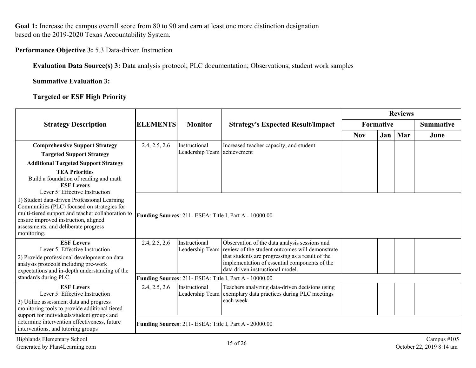Goal 1: Increase the campus overall score from 80 to 90 and earn at least one more distinction designation based on the 2019-2020 Texas Accountability System.

## **Performance Objective 3:** 5.3 Data-driven Instruction

**Evaluation Data Source(s) 3:** Data analysis protocol; PLC documentation; Observations; student work samples

**Summative Evaluation 3:**

**Targeted or ESF High Priority**

|                                                                                                                                                                                                                                                 |                 |                             |                                                                                                                                                                                                                                                           |            |           | <b>Reviews</b> |                                         |
|-------------------------------------------------------------------------------------------------------------------------------------------------------------------------------------------------------------------------------------------------|-----------------|-----------------------------|-----------------------------------------------------------------------------------------------------------------------------------------------------------------------------------------------------------------------------------------------------------|------------|-----------|----------------|-----------------------------------------|
| <b>Strategy Description</b>                                                                                                                                                                                                                     | <b>ELEMENTS</b> | <b>Monitor</b>              | <b>Strategy's Expected Result/Impact</b>                                                                                                                                                                                                                  |            | Formative |                | <b>Summative</b>                        |
|                                                                                                                                                                                                                                                 |                 |                             |                                                                                                                                                                                                                                                           | <b>Nov</b> | Jan       | Mar            | June                                    |
| <b>Comprehensive Support Strategy</b>                                                                                                                                                                                                           | 2.4, 2.5, 2.6   | Instructional               | Increased teacher capacity, and student                                                                                                                                                                                                                   |            |           |                |                                         |
| <b>Targeted Support Strategy</b>                                                                                                                                                                                                                |                 | Leadership Team achievement |                                                                                                                                                                                                                                                           |            |           |                |                                         |
| <b>Additional Targeted Support Strategy</b>                                                                                                                                                                                                     |                 |                             |                                                                                                                                                                                                                                                           |            |           |                |                                         |
| <b>TEA Priorities</b><br>Build a foundation of reading and math<br><b>ESF Levers</b><br>Lever 5: Effective Instruction                                                                                                                          |                 |                             |                                                                                                                                                                                                                                                           |            |           |                |                                         |
| 1) Student data-driven Professional Learning<br>Communities (PLC) focused on strategies for<br>multi-tiered support and teacher collaboration to<br>ensure improved instruction, aligned<br>assessments, and deliberate progress<br>monitoring. |                 |                             | Funding Sources: 211- ESEA: Title I, Part A - 10000.00                                                                                                                                                                                                    |            |           |                |                                         |
| <b>ESF Levers</b><br>Lever 5: Effective Instruction<br>2) Provide professional development on data<br>analysis protocols including pre-work<br>expectations and in-depth understanding of the                                                   | 2.4, 2.5, 2.6   | Instructional               | Observation of the data analysis sessions and<br>Leadership Team review of the student outcomes will demonstrate<br>that students are progressing as a result of the<br>implementation of essential components of the<br>data driven instructional model. |            |           |                |                                         |
| standards during PLC.                                                                                                                                                                                                                           |                 |                             | Funding Sources: 211- ESEA: Title I, Part A - 10000.00                                                                                                                                                                                                    |            |           |                |                                         |
| <b>ESF Levers</b><br>Lever 5: Effective Instruction<br>3) Utilize assessment data and progress<br>monitoring tools to provide additional tiered                                                                                                 | 2.4, 2.5, 2.6   | Instructional               | Teachers analyzing data-driven decisions using<br>Leadership Team exemplary data practices during PLC meetings<br>each week                                                                                                                               |            |           |                |                                         |
| support for individuals/student groups and<br>determine intervention effectiveness, future<br>interventions, and tutoring groups                                                                                                                |                 |                             | Funding Sources: 211- ESEA: Title I, Part A - 20000.00                                                                                                                                                                                                    |            |           |                |                                         |
| Highlands Elementary School<br>Generated by Plan4Learning.com                                                                                                                                                                                   |                 |                             | 15 of 26                                                                                                                                                                                                                                                  |            |           |                | Campus #105<br>October 22, 2019 8:14 am |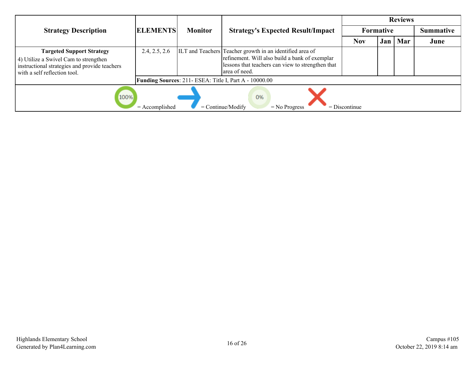|                                                                                                                                                            |                  |                |                                                                                                                                                                                   | <b>Reviews</b>  |                  |     |                  |  |  |
|------------------------------------------------------------------------------------------------------------------------------------------------------------|------------------|----------------|-----------------------------------------------------------------------------------------------------------------------------------------------------------------------------------|-----------------|------------------|-----|------------------|--|--|
| <b>Strategy Description</b>                                                                                                                                | <b>ELEMENTS</b>  | <b>Monitor</b> | <b>Strategy's Expected Result/Impact</b>                                                                                                                                          |                 | <b>Formative</b> |     | <b>Summative</b> |  |  |
|                                                                                                                                                            |                  |                |                                                                                                                                                                                   | Nov             | Jan <sup>1</sup> | Mar | June             |  |  |
| <b>Targeted Support Strategy</b><br>4) Utilize a Swivel Cam to strengthen<br>instructional strategies and provide teachers<br>with a self reflection tool. | 2.4, 2.5, 2.6    |                | ILT and Teachers Teacher growth in an identified area of<br>refinement. Will also build a bank of exemplar<br>lessons that teachers can view to strengthen that<br>larea of need. |                 |                  |     |                  |  |  |
|                                                                                                                                                            |                  |                | <b>Funding Sources: 211- ESEA: Title I, Part A - 10000.00</b>                                                                                                                     |                 |                  |     |                  |  |  |
| 100%                                                                                                                                                       | $=$ Accomplished |                | 0%<br>$=$ Continue/Modify<br>$=$ No Progress                                                                                                                                      | $=$ Discontinue |                  |     |                  |  |  |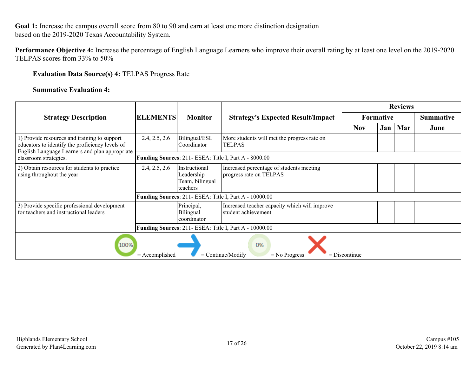Goal 1: Increase the campus overall score from 80 to 90 and earn at least one more distinction designation based on the 2019-2020 Texas Accountability System.

**Performance Objective 4:** Increase the percentage of English Language Learners who improve their overall rating by at least one level on the 2019-2020 TELPAS scores from 33% to 50%

### **Evaluation Data Source(s) 4:** TELPAS Progress Rate

#### **Summative Evaluation 4:**

|                                                                                                                                                   |                  |                                                             |                                                                      |                 |                  | <b>Reviews</b> |           |
|---------------------------------------------------------------------------------------------------------------------------------------------------|------------------|-------------------------------------------------------------|----------------------------------------------------------------------|-----------------|------------------|----------------|-----------|
| <b>Strategy Description</b>                                                                                                                       | <b>ELEMENTS</b>  | <b>Monitor</b>                                              | <b>Strategy's Expected Result/Impact</b>                             |                 | <b>Formative</b> |                | Summative |
|                                                                                                                                                   |                  |                                                             |                                                                      | <b>Nov</b>      | Jan              | Mar            | June      |
| 1) Provide resources and training to support<br>educators to identify the proficiency levels of<br>English Language Learners and plan appropriate | 2.4, 2.5, 2.6    | Bilingual/ESL<br>lCoordinator                               | More students will met the progress rate on<br><b>TELPAS</b>         |                 |                  |                |           |
| classroom strategies.                                                                                                                             |                  |                                                             | Funding Sources: 211- ESEA: Title I, Part A - 8000.00                |                 |                  |                |           |
| 2) Obtain resources for students to practice<br>using throughout the year                                                                         | 2.4, 2.5, 2.6    | Instructional<br>Leadership<br>Team, bilingual<br>Iteachers | Increased percentage of students meeting<br>progress rate on TELPAS  |                 |                  |                |           |
|                                                                                                                                                   |                  |                                                             | Funding Sources: 211- ESEA: Title I, Part A - 10000.00               |                 |                  |                |           |
| 3) Provide specific professional development<br>for teachers and instructional leaders                                                            |                  | Principal,<br><b>Bilingual</b><br>lcoordinator              | Increased teacher capacity which will improve<br>student achievement |                 |                  |                |           |
|                                                                                                                                                   |                  |                                                             | Funding Sources: 211- ESEA: Title I, Part A - 10000.00               |                 |                  |                |           |
| 100%                                                                                                                                              | $=$ Accomplished |                                                             | 0%<br>$=$ Continue/Modify<br>$=$ No Progress                         | $=$ Discontinue |                  |                |           |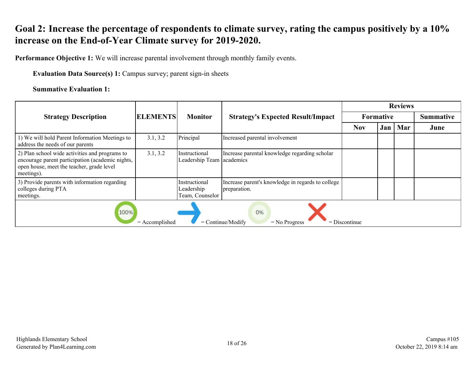# <span id="page-17-0"></span>**Goal 2: Increase the percentage of respondents to climate survey, rating the campus positively by a 10% increase on the End-of-Year Climate survey for 2019-2020.**

**Performance Objective 1:** We will increase parental involvement through monthly family events.

**Evaluation Data Source(s) 1:** Campus survey; parent sign-in sheets

### **Summative Evaluation 1:**

|                                                                                                                                                               |                 |                                                |                                                                   | <b>Reviews</b>   |      |                  |      |  |  |
|---------------------------------------------------------------------------------------------------------------------------------------------------------------|-----------------|------------------------------------------------|-------------------------------------------------------------------|------------------|------|------------------|------|--|--|
| <b>Strategy Description</b>                                                                                                                                   | <b>ELEMENTS</b> | <b>Monitor</b>                                 | <b>Strategy's Expected Result/Impact</b>                          | <b>Formative</b> |      | <b>Summative</b> |      |  |  |
|                                                                                                                                                               |                 |                                                |                                                                   | <b>Nov</b>       | Jan' | Mar              | June |  |  |
| 1) We will hold Parent Information Meetings to<br>address the needs of our parents                                                                            | 3.1, 3.2        | Principal                                      | Increased parental involvement                                    |                  |      |                  |      |  |  |
| 2) Plan school wide activities and programs to<br>encourage parent participation (academic nights,<br>open house, meet the teacher, grade level<br>meetings). | 3.1, 3.2        | Instructional<br>Leadership Team academics     | Increase parental knowledge regarding scholar                     |                  |      |                  |      |  |  |
| 3) Provide parents with information regarding<br>colleges during PTA<br>meetings.                                                                             |                 | Instructional<br>Leadership<br>Team, Counselor | Increase parent's knowledge in regards to college<br>preparation. |                  |      |                  |      |  |  |
| 100%<br>0%<br>$=$ Continue/Modify<br>$=$ Discontinue<br>$=$ Accomplished<br>$=$ No Progress                                                                   |                 |                                                |                                                                   |                  |      |                  |      |  |  |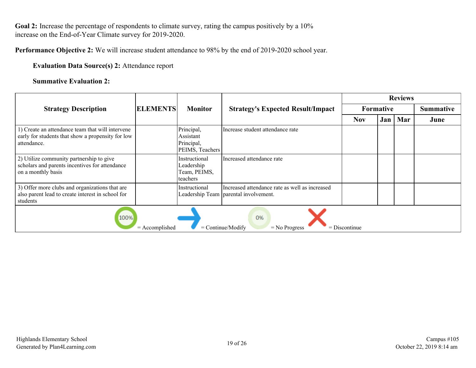Goal 2: Increase the percentage of respondents to climate survey, rating the campus positively by a 10% increase on the End-of-Year Climate survey for 2019-2020.

**Performance Objective 2:** We will increase student attendance to 98% by the end of 2019-2020 school year.

### **Evaluation Data Source(s) 2:** Attendance report

#### **Summative Evaluation 2:**

|                                                                                                                      |                 |                                                          |                                                                                           | <b>Reviews</b> |     |                  |      |  |
|----------------------------------------------------------------------------------------------------------------------|-----------------|----------------------------------------------------------|-------------------------------------------------------------------------------------------|----------------|-----|------------------|------|--|
| <b>Strategy Description</b>                                                                                          | <b>ELEMENTS</b> | <b>Monitor</b>                                           | <b>Strategy's Expected Result/Impact</b>                                                  | Formative      |     | <b>Summative</b> |      |  |
|                                                                                                                      |                 |                                                          |                                                                                           | <b>Nov</b>     | Jan | Mar              | June |  |
| 1) Create an attendance team that will intervene<br>early for students that show a propensity for low<br>attendance. |                 | Principal,<br>Assistant<br>Principal,<br>PEIMS, Teachers | Increase student attendance rate                                                          |                |     |                  |      |  |
| 2) Utilize community partnership to give<br>scholars and parents incentives for attendance<br>on a monthly basis     |                 | Instructional<br>Leadership<br>Team, PEIMS,<br>teachers  | Increased attendance rate                                                                 |                |     |                  |      |  |
| 3) Offer more clubs and organizations that are<br>also parent lead to create interest in school for<br>students      |                 | Instructional                                            | Increased attendance rate as well as increased<br>Leadership Team   parental involvement. |                |     |                  |      |  |
| 100%<br>0%<br>$=$ Continue/Modify<br>$=$ Accomplished<br>$=$ Discontinue<br>$=$ No Progress                          |                 |                                                          |                                                                                           |                |     |                  |      |  |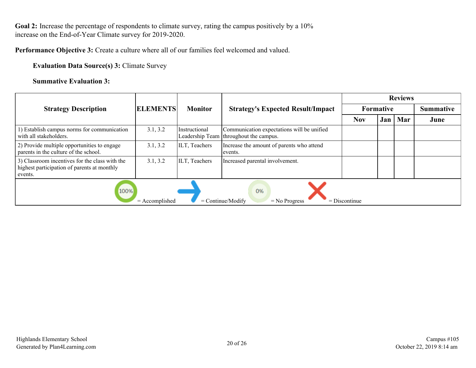Goal 2: Increase the percentage of respondents to climate survey, rating the campus positively by a 10% increase on the End-of-Year Climate survey for 2019-2020.

**Performance Objective 3:** Create a culture where all of our families feel welcomed and valued.

**Evaluation Data Source(s) 3:** Climate Survey

**Summative Evaluation 3:**

|                                                                                                          |                 |                |                                                                                      | <b>Reviews</b>   |     |     |                  |  |  |
|----------------------------------------------------------------------------------------------------------|-----------------|----------------|--------------------------------------------------------------------------------------|------------------|-----|-----|------------------|--|--|
| <b>Strategy Description</b>                                                                              | <b>ELEMENTS</b> | <b>Monitor</b> | <b>Strategy's Expected Result/Impact</b>                                             | <b>Formative</b> |     |     | <b>Summative</b> |  |  |
|                                                                                                          |                 |                |                                                                                      | <b>Nov</b>       | Jan | Mar | June             |  |  |
| 1) Establish campus norms for communication<br>with all stakeholders.                                    | 3.1, 3.2        | Instructional  | Communication expectations will be unified<br>Leadership Team throughout the campus. |                  |     |     |                  |  |  |
| 2) Provide multiple opportunities to engage<br>parents in the culture of the school.                     | 3.1, 3.2        | ILT, Teachers  | Increase the amount of parents who attend<br>events.                                 |                  |     |     |                  |  |  |
| 3) Classroom incentives for the class with the<br>highest participation of parents at monthly<br>events. | 3.1, 3.2        | ILT, Teachers  | Increased parental involvement.                                                      |                  |     |     |                  |  |  |
| 100%<br>0%<br>$=$ Continue/Modify<br>$=$ Accomplished<br>$=$ Discontinue<br>$=$ No Progress              |                 |                |                                                                                      |                  |     |     |                  |  |  |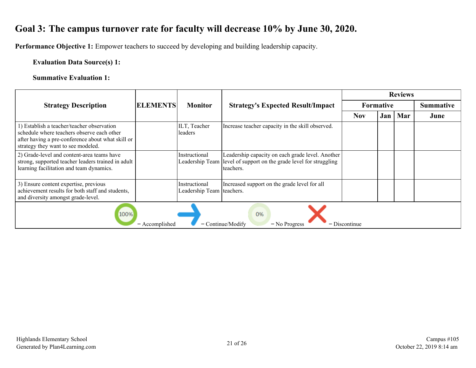# <span id="page-20-0"></span>**Goal 3: The campus turnover rate for faculty will decrease 10% by June 30, 2020.**

**Performance Objective 1:** Empower teachers to succeed by developing and building leadership capacity.

## **Evaluation Data Source(s) 1:**

## **Summative Evaluation 1:**

|                                                                                                                                                                                     |                 |                                            |                                                                                                                                     | <b>Reviews</b>   |     |     |           |  |
|-------------------------------------------------------------------------------------------------------------------------------------------------------------------------------------|-----------------|--------------------------------------------|-------------------------------------------------------------------------------------------------------------------------------------|------------------|-----|-----|-----------|--|
| <b>Strategy Description</b>                                                                                                                                                         | <b>ELEMENTS</b> | <b>Monitor</b>                             | <b>Strategy's Expected Result/Impact</b>                                                                                            | <b>Formative</b> |     |     | Summative |  |
|                                                                                                                                                                                     |                 |                                            |                                                                                                                                     | <b>Nov</b>       | Jan | Mar | June      |  |
| 1) Establish a teacher/teacher observation<br>schedule where teachers observe each other<br>after having a pre-conference about what skill or<br>strategy they want to see modeled. |                 | ILT, Teacher<br>leaders                    | Increase teacher capacity in the skill observed.                                                                                    |                  |     |     |           |  |
| 2) Grade-level and content-area teams have<br>strong, supported teacher leaders trained in adult<br>learning facilitation and team dynamics.                                        |                 | Instructional                              | Leadership capacity on each grade level. Another<br>Leadership Team level of support on the grade level for struggling<br>teachers. |                  |     |     |           |  |
| 3) Ensure content expertise, previous<br>achievement results for both staff and students,<br>and diversity amongst grade-level.                                                     |                 | Instructional<br>Leadership Team teachers. | Increased support on the grade level for all                                                                                        |                  |     |     |           |  |
| 100%<br>0%<br>$=$ Continue/Modify<br>$=$ Discontinue<br>$=$ Accomplished<br>$=$ No Progress                                                                                         |                 |                                            |                                                                                                                                     |                  |     |     |           |  |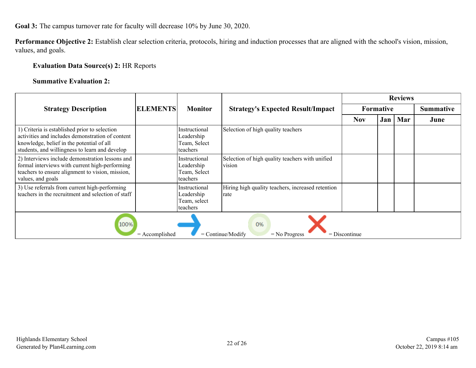**Goal 3:** The campus turnover rate for faculty will decrease 10% by June 30, 2020.

**Performance Objective 2:** Establish clear selection criteria, protocols, hiring and induction processes that are aligned with the school's vision, mission, values, and goals.

#### **Evaluation Data Source(s) 2:** HR Reports

#### **Summative Evaluation 2:**

|                                                                                                                                                                                                  |  |                                                         |                                                           | <b>Reviews</b>   |     |     |                  |  |
|--------------------------------------------------------------------------------------------------------------------------------------------------------------------------------------------------|--|---------------------------------------------------------|-----------------------------------------------------------|------------------|-----|-----|------------------|--|
| <b>Strategy Description</b>                                                                                                                                                                      |  | <b>ELEMENTS</b><br><b>Monitor</b>                       | <b>Strategy's Expected Result/Impact</b>                  | <b>Formative</b> |     |     | <b>Summative</b> |  |
|                                                                                                                                                                                                  |  |                                                         |                                                           | <b>Nov</b>       | Jan | Mar | June             |  |
| 1) Criteria is established prior to selection<br>activities and includes demonstration of content<br>knowledge, belief in the potential of all<br>students, and willingness to learn and develop |  | Instructional<br>Leadership<br>Team, Select<br>teachers | Selection of high quality teachers                        |                  |     |     |                  |  |
| 2) Interviews include demonstration lessons and<br>formal interviews with current high-performing<br>teachers to ensure alignment to vision, mission,<br>values, and goals                       |  | Instructional<br>Leadership<br>Team, Select<br>teachers | Selection of high quality teachers with unified<br>vision |                  |     |     |                  |  |
| 3) Use referrals from current high-performing<br>teachers in the recruitment and selection of staff                                                                                              |  | Instructional<br>Leadership<br>Team, select<br>teachers | Hiring high quality teachers, increased retention<br>rate |                  |     |     |                  |  |
| 100%<br>0%<br>$=$ Continue/Modify<br>$=$ Accomplished<br>$=$ Discontinue<br>$=$ No Progress                                                                                                      |  |                                                         |                                                           |                  |     |     |                  |  |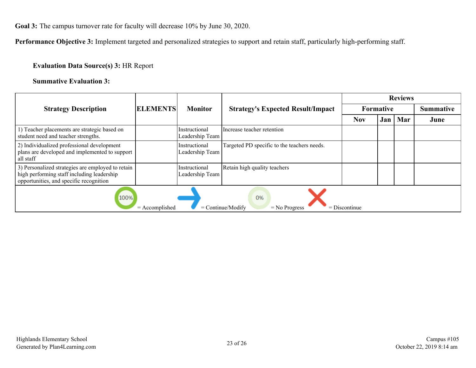**Goal 3:** The campus turnover rate for faculty will decrease 10% by June 30, 2020.

**Performance Objective 3:** Implement targeted and personalized strategies to support and retain staff, particularly high-performing staff.

## **Evaluation Data Source(s) 3:** HR Report

### **Summative Evaluation 3:**

|                                                                                                                                            |                 |                                  |                                             | <b>Reviews</b>   |      |     |                  |  |  |
|--------------------------------------------------------------------------------------------------------------------------------------------|-----------------|----------------------------------|---------------------------------------------|------------------|------|-----|------------------|--|--|
| <b>Strategy Description</b>                                                                                                                | <b>ELEMENTS</b> | <b>Monitor</b>                   | <b>Strategy's Expected Result/Impact</b>    | <b>Formative</b> |      |     | <b>Summative</b> |  |  |
|                                                                                                                                            |                 |                                  |                                             | <b>Nov</b>       | Jan' | Mar | June             |  |  |
| 1) Teacher placements are strategic based on<br>student need and teacher strengths.                                                        |                 | Instructional<br>Leadership Team | Increase teacher retention                  |                  |      |     |                  |  |  |
| 2) Individualized professional development<br>plans are developed and implemented to support<br>all staff                                  |                 | Instructional<br>Leadership Team | Targeted PD specific to the teachers needs. |                  |      |     |                  |  |  |
| 3) Personalized strategies are employed to retain<br>high performing staff including leadership<br>opportunities, and specific recognition |                 | Instructional<br>Leadership Team | Retain high quality teachers                |                  |      |     |                  |  |  |
| 100%<br>0%<br>$=$ Continue/Modify<br>$=$ Accomplished<br>$=$ Discontinue<br>$=$ No Progress                                                |                 |                                  |                                             |                  |      |     |                  |  |  |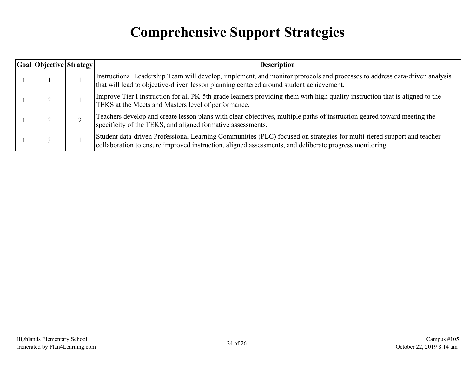# **Comprehensive Support Strategies**

<span id="page-23-0"></span>

| Goal Objective   Strategy | <b>Description</b>                                                                                                                                                                                                               |
|---------------------------|----------------------------------------------------------------------------------------------------------------------------------------------------------------------------------------------------------------------------------|
|                           | Instructional Leadership Team will develop, implement, and monitor protocols and processes to address data-driven analysis<br>that will lead to objective-driven lesson planning centered around student achievement.            |
|                           | Improve Tier I instruction for all PK-5th grade learners providing them with high quality instruction that is aligned to the<br>TEKS at the Meets and Masters level of performance.                                              |
|                           | Teachers develop and create lesson plans with clear objectives, multiple paths of instruction geared toward meeting the<br>specificity of the TEKS, and aligned formative assessments.                                           |
|                           | Student data-driven Professional Learning Communities (PLC) focused on strategies for multi-tiered support and teacher<br>collaboration to ensure improved instruction, aligned assessments, and deliberate progress monitoring. |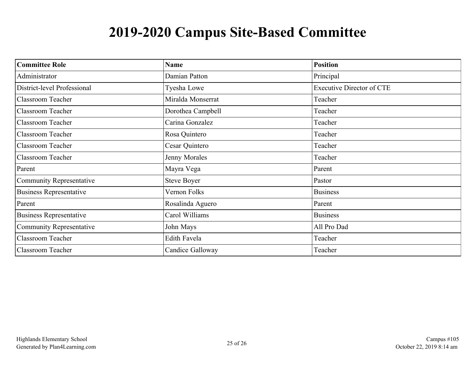# **2019-2020 Campus Site-Based Committee**

<span id="page-24-0"></span>

| <b>Committee Role</b>           | <b>Name</b>        | <b>Position</b>                  |
|---------------------------------|--------------------|----------------------------------|
| Administrator                   | Damian Patton      | Principal                        |
| District-level Professional     | Tyesha Lowe        | <b>Executive Director of CTE</b> |
| <b>Classroom Teacher</b>        | Miralda Monserrat  | Teacher                          |
| <b>Classroom Teacher</b>        | Dorothea Campbell  | Teacher                          |
| <b>Classroom Teacher</b>        | Carina Gonzalez    | Teacher                          |
| <b>Classroom Teacher</b>        | Rosa Quintero      | Teacher                          |
| <b>Classroom Teacher</b>        | Cesar Quintero     | Teacher                          |
| <b>Classroom Teacher</b>        | Jenny Morales      | Teacher                          |
| Parent                          | Mayra Vega         | Parent                           |
| <b>Community Representative</b> | <b>Steve Boyer</b> | Pastor                           |
| <b>Business Representative</b>  | Vernon Folks       | <b>Business</b>                  |
| Parent                          | Rosalinda Aguero   | Parent                           |
| <b>Business Representative</b>  | Carol Williams     | <b>Business</b>                  |
| <b>Community Representative</b> | John Mays          | All Pro Dad                      |
| <b>Classroom Teacher</b>        | Edith Favela       | Teacher                          |
| <b>Classroom Teacher</b>        | Candice Galloway   | Teacher                          |